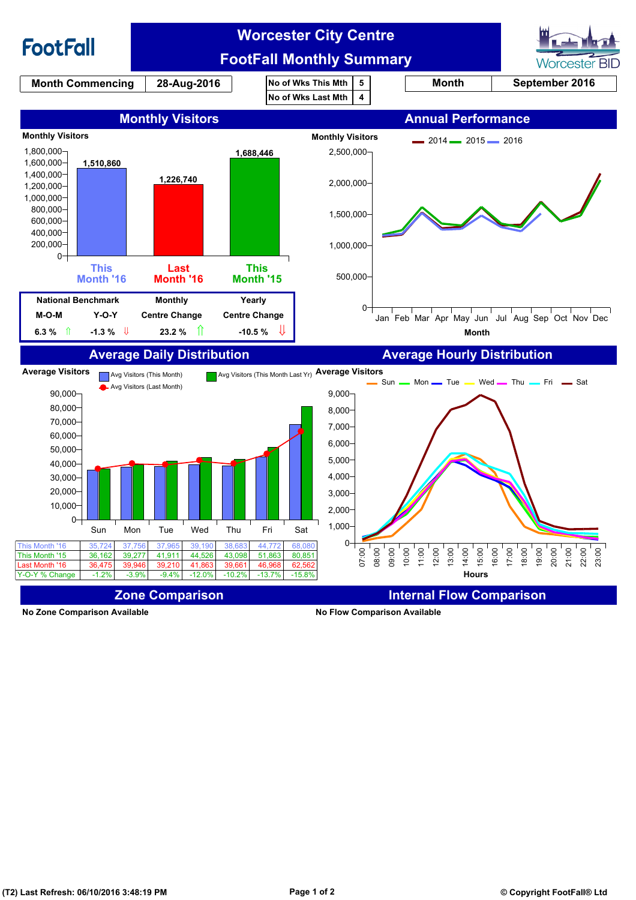

**No Zone Comparison Available No Flow Comparison Available**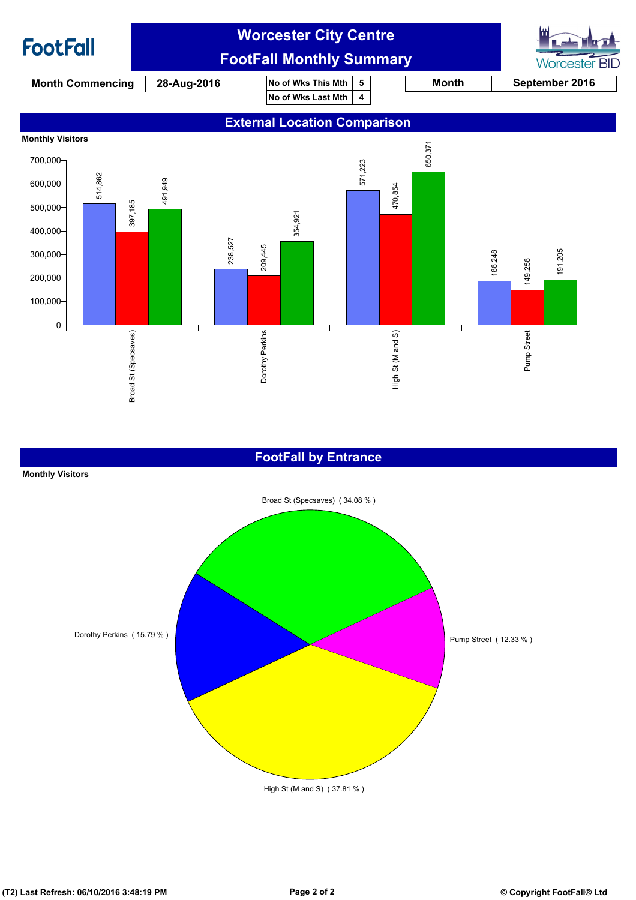

### **FootFall by Entrance**

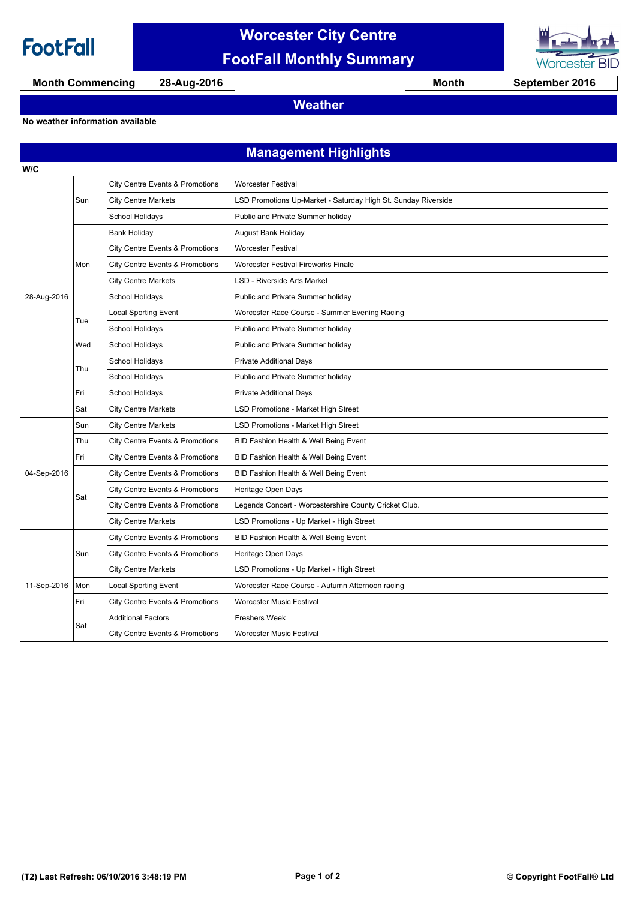

**W/C**

# **Worcester City Centre FootFall Monthly Summary**



**Month Commencing 28-Aug-2016 Month September 2016**

**Weather**

#### **No weather information available**

## **Management Highlights**

| 28-Aug-2016 | Sun | City Centre Events & Promotions            | <b>Worcester Festival</b>                                     |
|-------------|-----|--------------------------------------------|---------------------------------------------------------------|
|             |     | <b>City Centre Markets</b>                 | LSD Promotions Up-Market - Saturday High St. Sunday Riverside |
|             |     | School Holidays                            | Public and Private Summer holiday                             |
|             | Mon | <b>Bank Holiday</b>                        | <b>August Bank Holiday</b>                                    |
|             |     | City Centre Events & Promotions            | <b>Worcester Festival</b>                                     |
|             |     | City Centre Events & Promotions            | Worcester Festival Fireworks Finale                           |
|             |     | <b>City Centre Markets</b>                 | LSD - Riverside Arts Market                                   |
|             |     | <b>School Holidays</b>                     | Public and Private Summer holiday                             |
|             | Tue | <b>Local Sporting Event</b>                | Worcester Race Course - Summer Evening Racing                 |
|             |     | School Holidays                            | Public and Private Summer holiday                             |
|             | Wed | School Holidays                            | Public and Private Summer holiday                             |
|             | Thu | School Holidays                            | <b>Private Additional Days</b>                                |
|             |     | School Holidays                            | Public and Private Summer holiday                             |
|             | Fri | School Holidays                            | <b>Private Additional Days</b>                                |
|             | Sat | <b>City Centre Markets</b>                 | LSD Promotions - Market High Street                           |
|             | Sun | <b>City Centre Markets</b>                 | LSD Promotions - Market High Street                           |
|             | Thu | City Centre Events & Promotions            | BID Fashion Health & Well Being Event                         |
|             | Fri | City Centre Events & Promotions            | BID Fashion Health & Well Being Event                         |
| 04-Sep-2016 | Sat | City Centre Events & Promotions            | BID Fashion Health & Well Being Event                         |
|             |     | <b>City Centre Events &amp; Promotions</b> | Heritage Open Days                                            |
|             |     | City Centre Events & Promotions            | Legends Concert - Worcestershire County Cricket Club.         |
|             |     | <b>City Centre Markets</b>                 | LSD Promotions - Up Market - High Street                      |
| 11-Sep-2016 | Sun | City Centre Events & Promotions            | BID Fashion Health & Well Being Event                         |
|             |     | City Centre Events & Promotions            | Heritage Open Days                                            |
|             |     | <b>City Centre Markets</b>                 | LSD Promotions - Up Market - High Street                      |
|             | Mon | <b>Local Sporting Event</b>                | Worcester Race Course - Autumn Afternoon racing               |
|             | Fri | City Centre Events & Promotions            | <b>Worcester Music Festival</b>                               |
|             | Sat | <b>Additional Factors</b>                  | <b>Freshers Week</b>                                          |
|             |     | City Centre Events & Promotions            | Worcester Music Festival                                      |